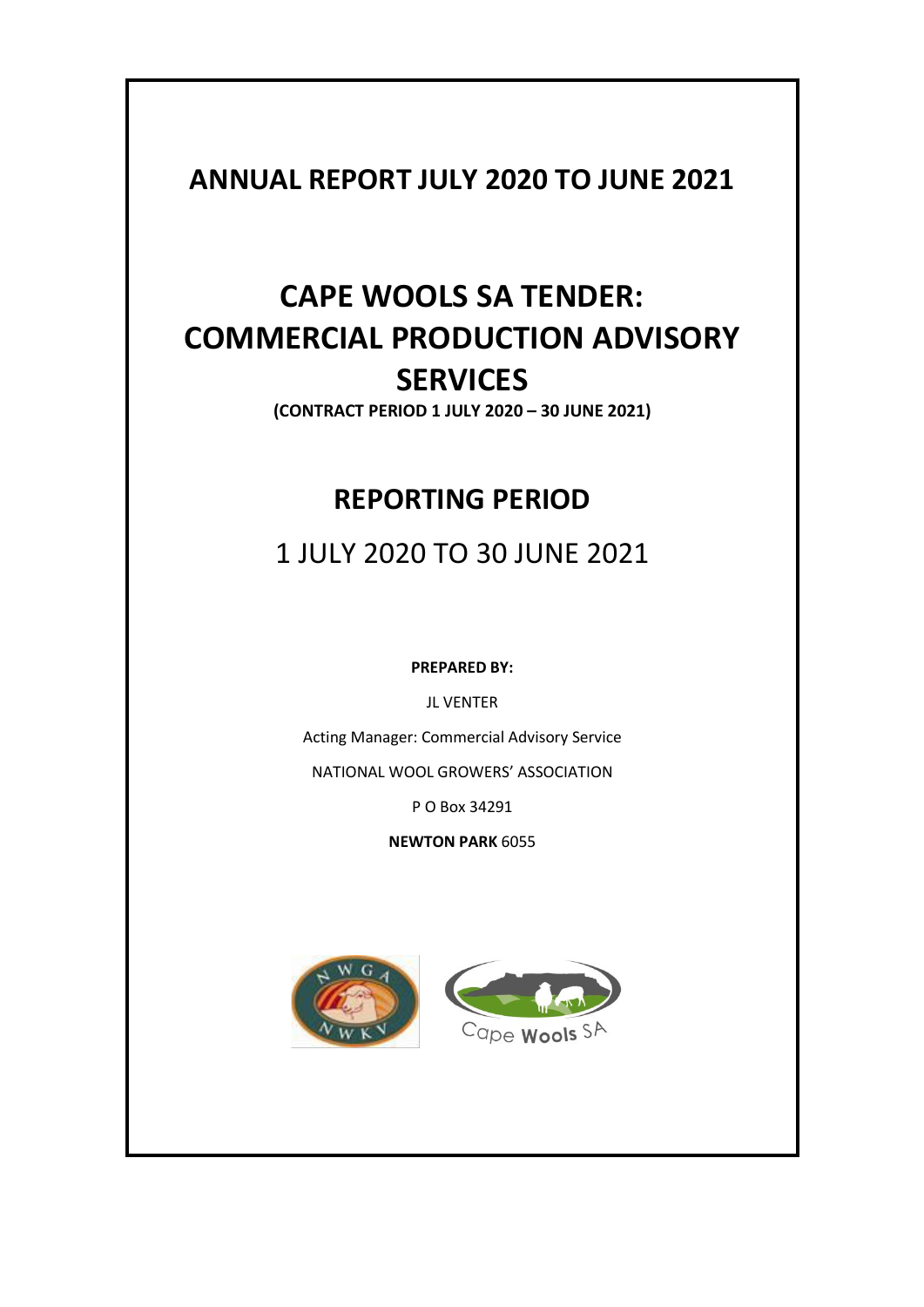## **ANNUAL REPORT JULY 2020 TO JUNE 2021**

# **CAPE WOOLS SA TENDER: COMMERCIAL PRODUCTION ADVISORY SERVICES**

**(CONTRACT PERIOD 1 JULY 2020 – 30 JUNE 2021)**

## **REPORTING PERIOD**

1 JULY 2020 TO 30 JUNE 2021

**PREPARED BY:**

JL VENTER

Acting Manager: Commercial Advisory Service

NATIONAL WOOL GROWERS' ASSOCIATION

P O Box 34291

**NEWTON PARK** 6055



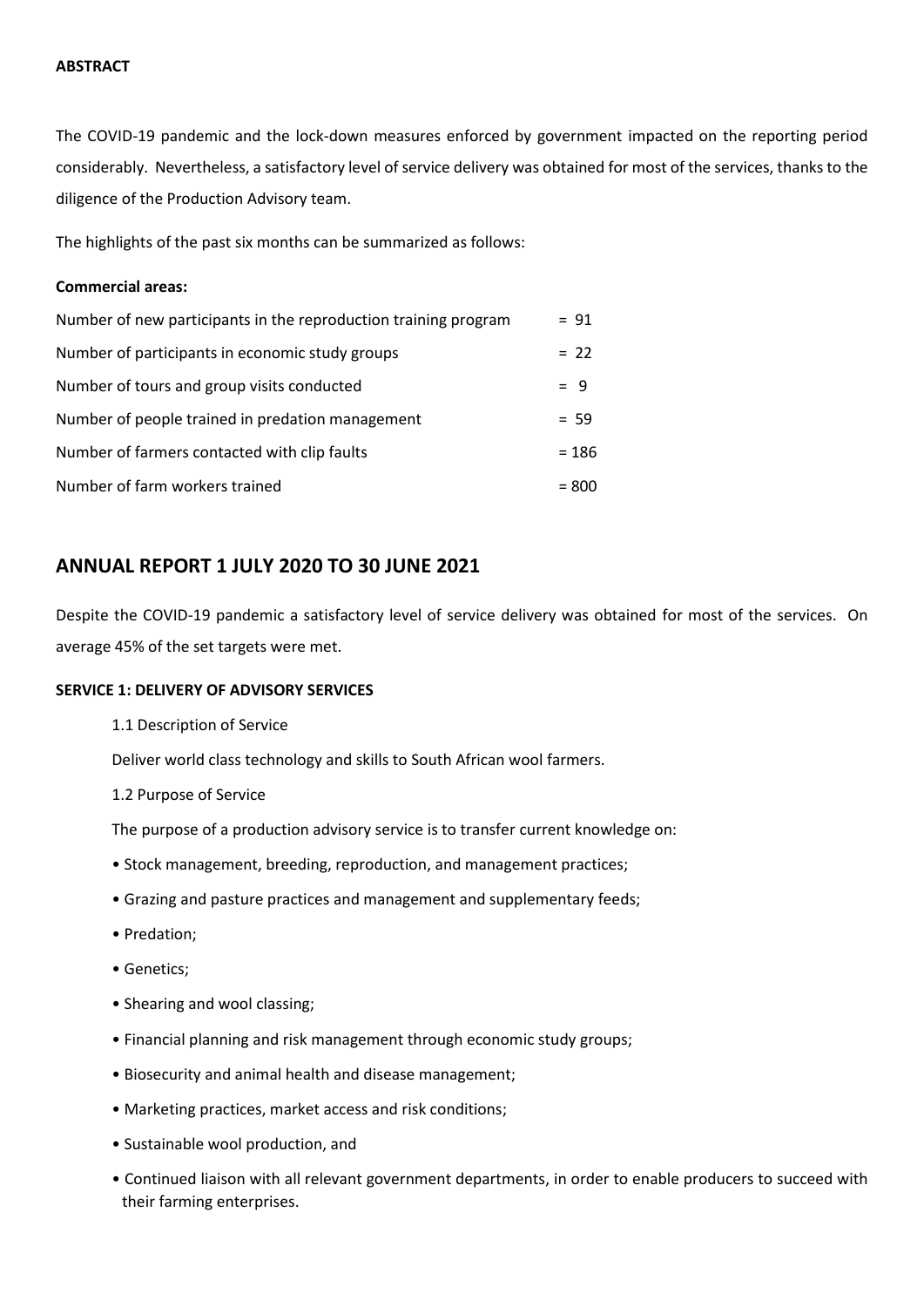#### **ABSTRACT**

The COVID-19 pandemic and the lock-down measures enforced by government impacted on the reporting period considerably. Nevertheless, a satisfactory level of service delivery was obtained for most of the services, thanks to the diligence of the Production Advisory team.

The highlights of the past six months can be summarized as follows:

#### **Commercial areas:**

| Number of new participants in the reproduction training program | $= 91$  |
|-----------------------------------------------------------------|---------|
| Number of participants in economic study groups                 | $= 22$  |
| Number of tours and group visits conducted                      | $= 9$   |
| Number of people trained in predation management                | $= 59$  |
| Number of farmers contacted with clip faults                    | $= 186$ |
| Number of farm workers trained                                  | $= 800$ |

### **ANNUAL REPORT 1 JULY 2020 TO 30 JUNE 2021**

Despite the COVID-19 pandemic a satisfactory level of service delivery was obtained for most of the services. On average 45% of the set targets were met.

#### **SERVICE 1: DELIVERY OF ADVISORY SERVICES**

1.1 Description of Service

Deliver world class technology and skills to South African wool farmers.

1.2 Purpose of Service

The purpose of a production advisory service is to transfer current knowledge on:

- Stock management, breeding, reproduction, and management practices;
- Grazing and pasture practices and management and supplementary feeds;
- Predation;
- Genetics;
- Shearing and wool classing;
- Financial planning and risk management through economic study groups;
- Biosecurity and animal health and disease management;
- Marketing practices, market access and risk conditions;
- Sustainable wool production, and
- Continued liaison with all relevant government departments, in order to enable producers to succeed with their farming enterprises.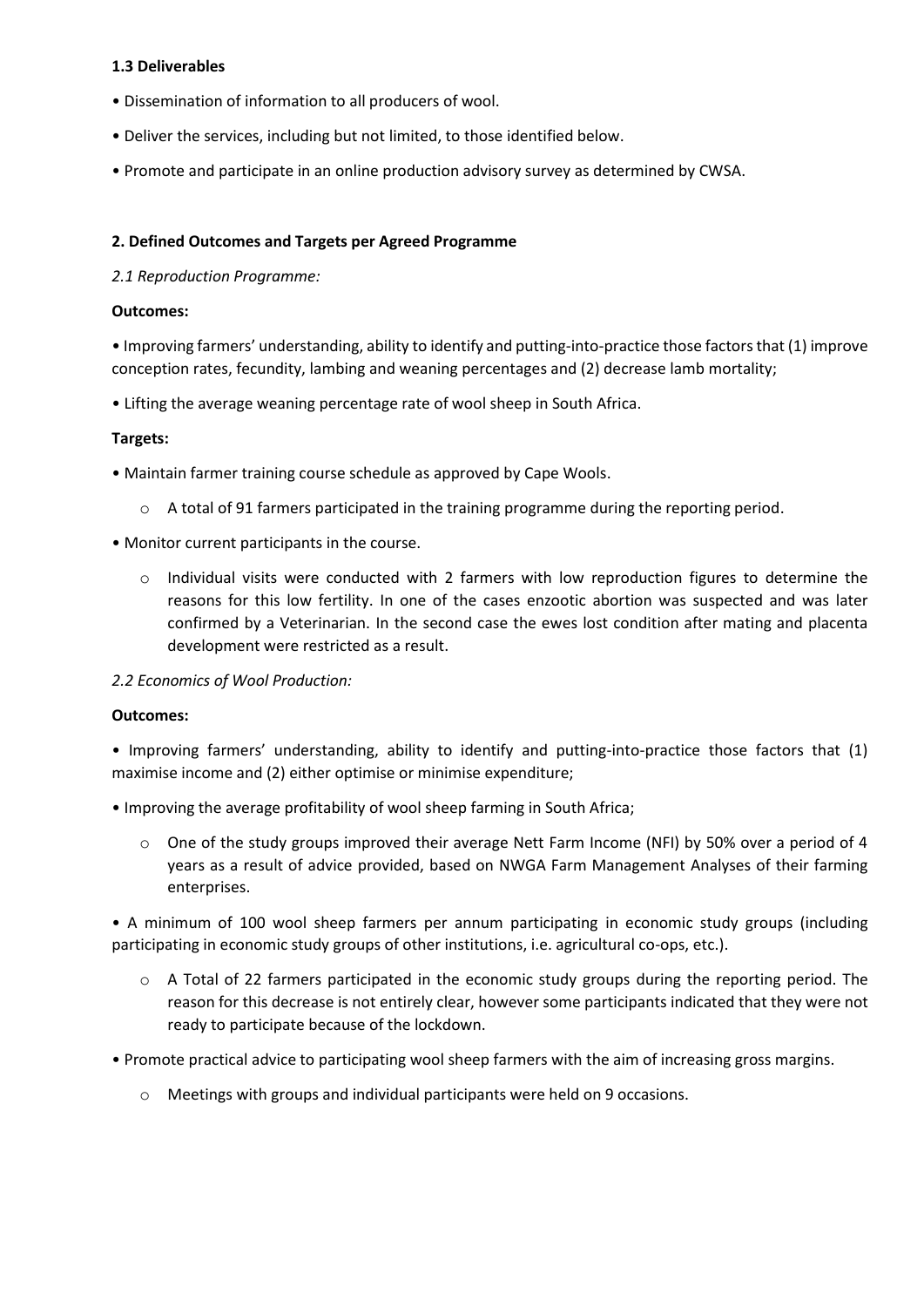#### **1.3 Deliverables**

- Dissemination of information to all producers of wool.
- Deliver the services, including but not limited, to those identified below.
- Promote and participate in an online production advisory survey as determined by CWSA.

#### **2. Defined Outcomes and Targets per Agreed Programme**

#### *2.1 Reproduction Programme:*

#### **Outcomes:**

• Improving farmers' understanding, ability to identify and putting-into-practice those factors that (1) improve conception rates, fecundity, lambing and weaning percentages and (2) decrease lamb mortality;

• Lifting the average weaning percentage rate of wool sheep in South Africa.

#### **Targets:**

• Maintain farmer training course schedule as approved by Cape Wools.

- $\circ$  A total of 91 farmers participated in the training programme during the reporting period.
- Monitor current participants in the course.
	- $\circ$  Individual visits were conducted with 2 farmers with low reproduction figures to determine the reasons for this low fertility. In one of the cases enzootic abortion was suspected and was later confirmed by a Veterinarian. In the second case the ewes lost condition after mating and placenta development were restricted as a result.

*2.2 Economics of Wool Production:*

#### **Outcomes:**

• Improving farmers' understanding, ability to identify and putting-into-practice those factors that (1) maximise income and (2) either optimise or minimise expenditure;

• Improving the average profitability of wool sheep farming in South Africa;

o One of the study groups improved their average Nett Farm Income (NFI) by 50% over a period of 4 years as a result of advice provided, based on NWGA Farm Management Analyses of their farming enterprises.

• A minimum of 100 wool sheep farmers per annum participating in economic study groups (including participating in economic study groups of other institutions, i.e. agricultural co-ops, etc.).

- o A Total of 22 farmers participated in the economic study groups during the reporting period. The reason for this decrease is not entirely clear, however some participants indicated that they were not ready to participate because of the lockdown.
- Promote practical advice to participating wool sheep farmers with the aim of increasing gross margins.
	- o Meetings with groups and individual participants were held on 9 occasions.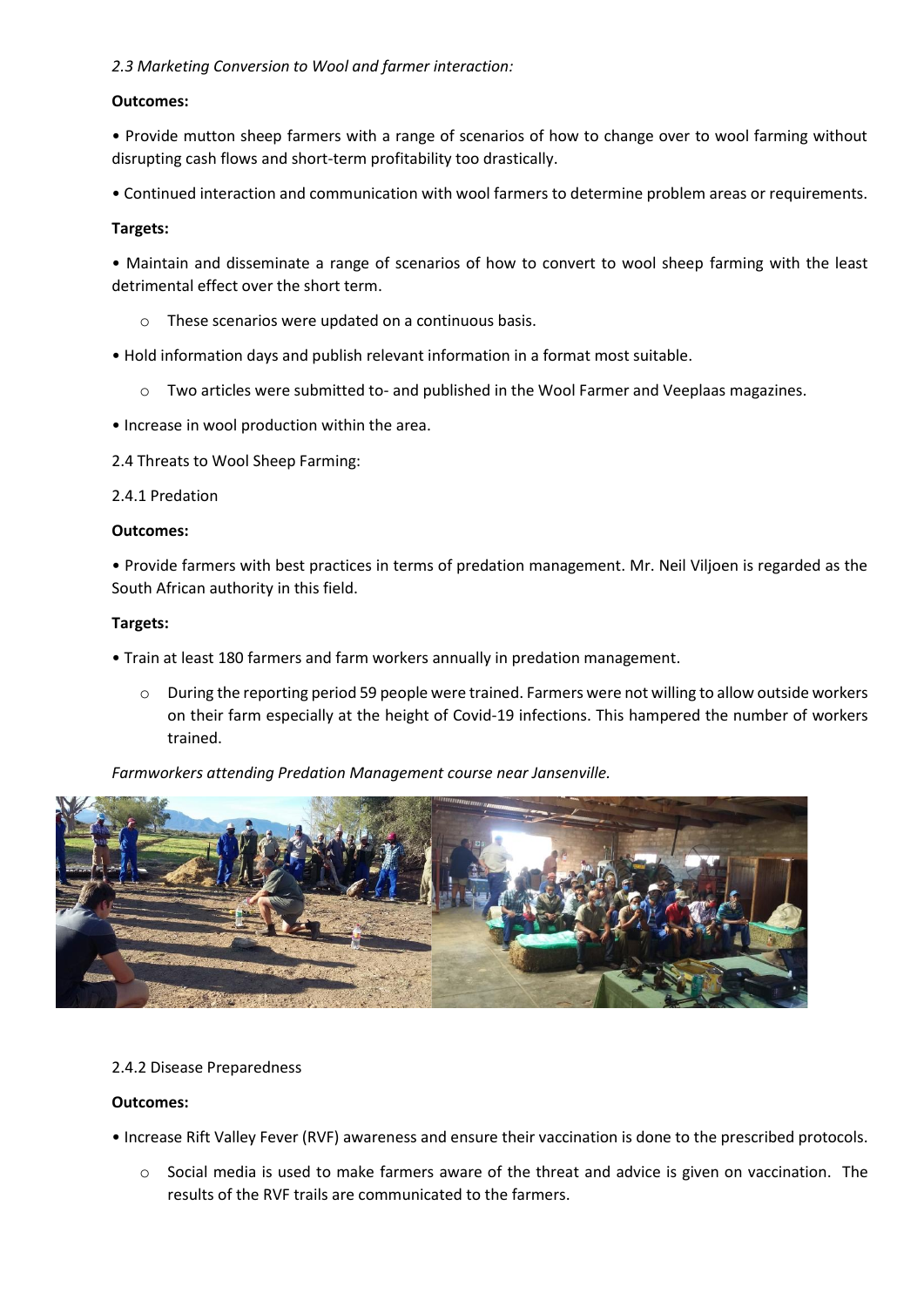#### *2.3 Marketing Conversion to Wool and farmer interaction:*

#### **Outcomes:**

• Provide mutton sheep farmers with a range of scenarios of how to change over to wool farming without disrupting cash flows and short-term profitability too drastically.

• Continued interaction and communication with wool farmers to determine problem areas or requirements.

#### **Targets:**

• Maintain and disseminate a range of scenarios of how to convert to wool sheep farming with the least detrimental effect over the short term.

- o These scenarios were updated on a continuous basis.
- Hold information days and publish relevant information in a format most suitable.
	- o Two articles were submitted to- and published in the Wool Farmer and Veeplaas magazines.
- Increase in wool production within the area.
- 2.4 Threats to Wool Sheep Farming:

#### 2.4.1 Predation

#### **Outcomes:**

• Provide farmers with best practices in terms of predation management. Mr. Neil Viljoen is regarded as the South African authority in this field.

#### **Targets:**

- Train at least 180 farmers and farm workers annually in predation management.
	- o During the reporting period 59 people were trained. Farmers were not willing to allow outside workers on their farm especially at the height of Covid-19 infections. This hampered the number of workers trained.

*Farmworkers attending Predation Management course near Jansenville.*



#### 2.4.2 Disease Preparedness

#### **Outcomes:**

• Increase Rift Valley Fever (RVF) awareness and ensure their vaccination is done to the prescribed protocols.

 $\circ$  Social media is used to make farmers aware of the threat and advice is given on vaccination. The results of the RVF trails are communicated to the farmers.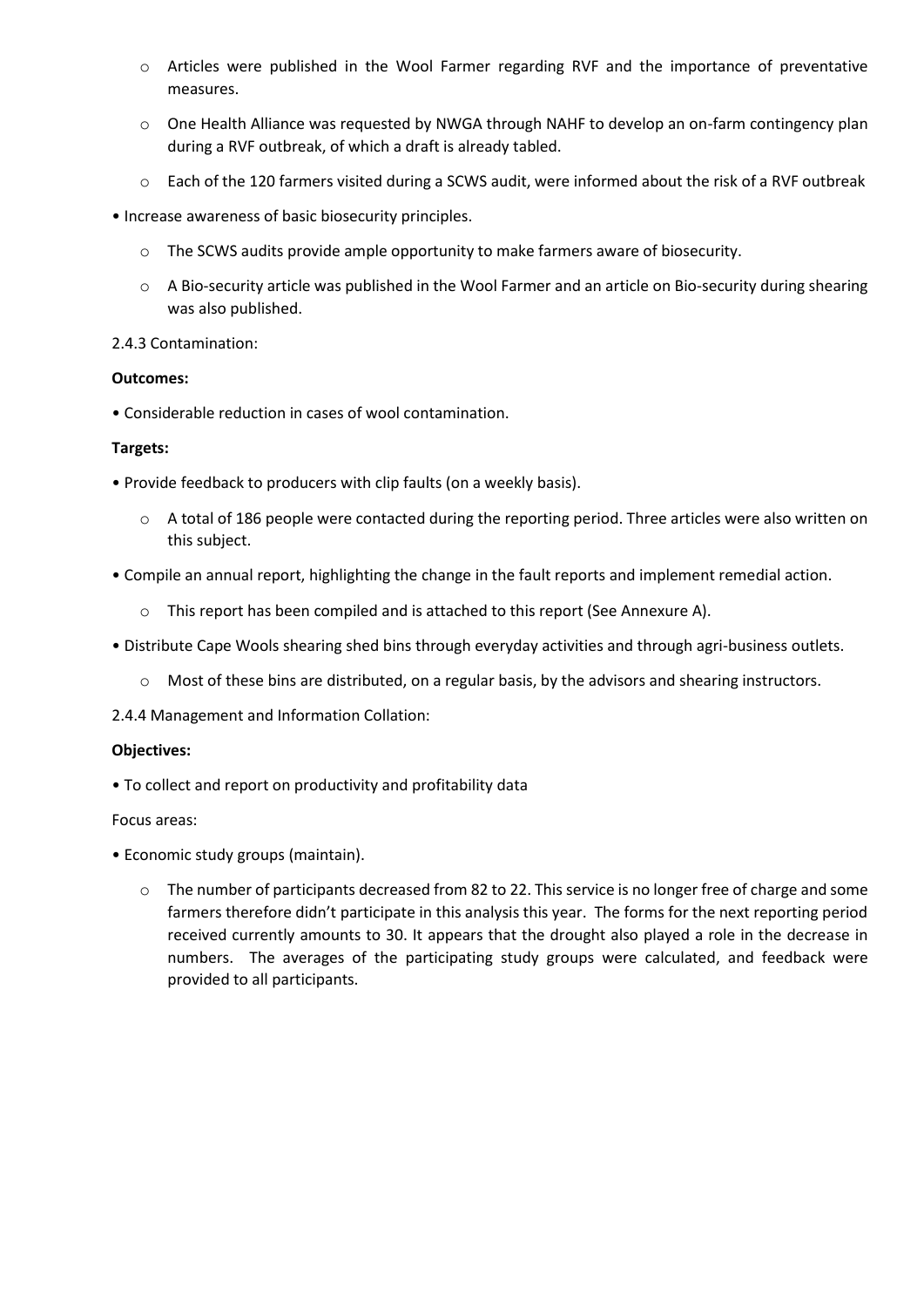- o Articles were published in the Wool Farmer regarding RVF and the importance of preventative measures.
- o One Health Alliance was requested by NWGA through NAHF to develop an on-farm contingency plan during a RVF outbreak, of which a draft is already tabled.
- o Each of the 120 farmers visited during a SCWS audit, were informed about the risk of a RVF outbreak
- Increase awareness of basic biosecurity principles.
	- o The SCWS audits provide ample opportunity to make farmers aware of biosecurity.
	- o A Bio-security article was published in the Wool Farmer and an article on Bio-security during shearing was also published.

#### 2.4.3 Contamination:

#### **Outcomes:**

• Considerable reduction in cases of wool contamination.

#### **Targets:**

- Provide feedback to producers with clip faults (on a weekly basis).
	- $\circ$  A total of 186 people were contacted during the reporting period. Three articles were also written on this subject.
- Compile an annual report, highlighting the change in the fault reports and implement remedial action.
	- o This report has been compiled and is attached to this report (See Annexure A).
- Distribute Cape Wools shearing shed bins through everyday activities and through agri-business outlets.
	- $\circ$  Most of these bins are distributed, on a regular basis, by the advisors and shearing instructors.
- 2.4.4 Management and Information Collation:

#### **Objectives:**

• To collect and report on productivity and profitability data

#### Focus areas:

- Economic study groups (maintain).
	- o The number of participants decreased from 82 to 22. This service is no longer free of charge and some farmers therefore didn't participate in this analysis this year. The forms for the next reporting period received currently amounts to 30. It appears that the drought also played a role in the decrease in numbers. The averages of the participating study groups were calculated, and feedback were provided to all participants.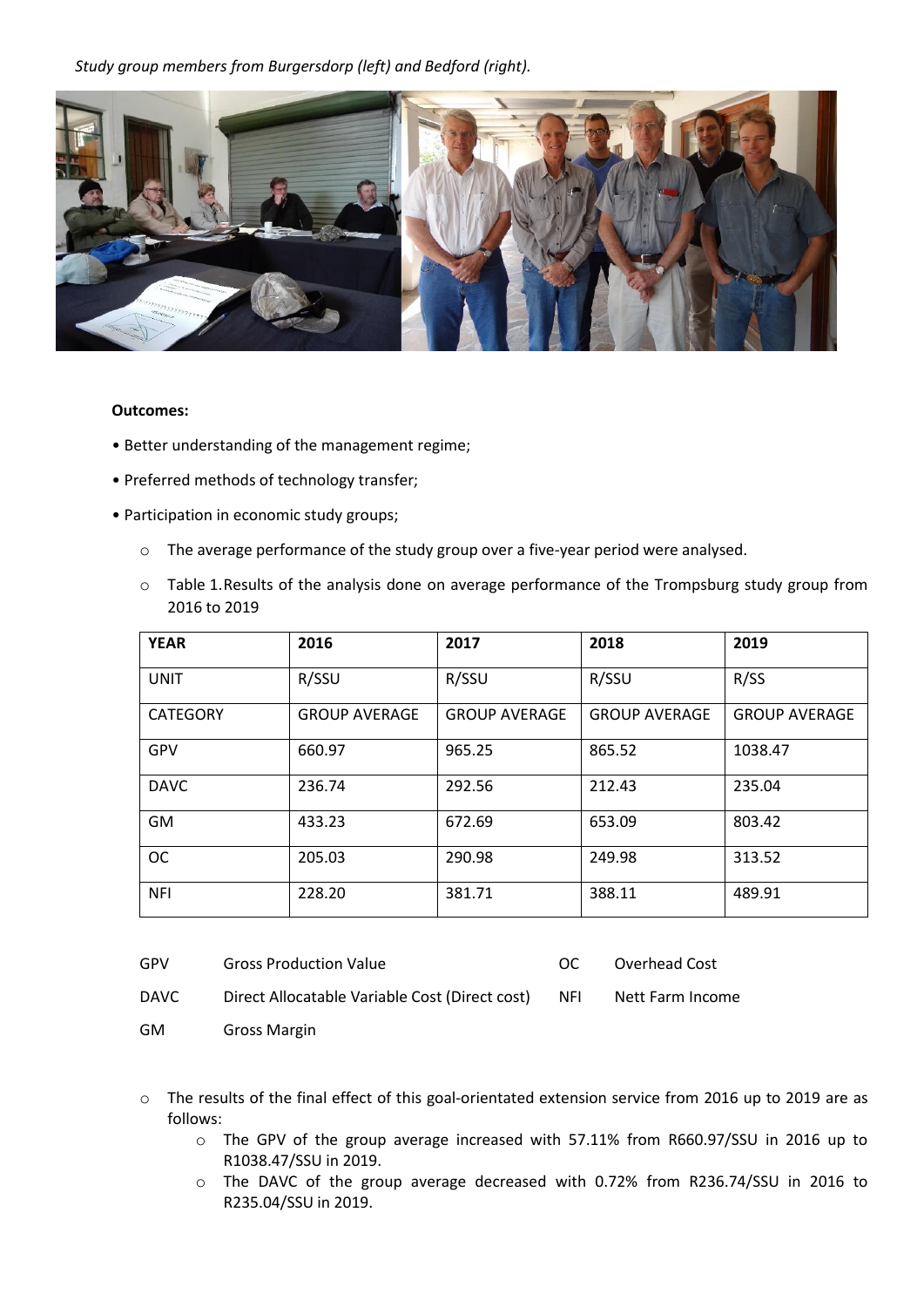*Study group members from Burgersdorp (left) and Bedford (right).*



#### **Outcomes:**

- Better understanding of the management regime;
- Preferred methods of technology transfer;
- Participation in economic study groups;
	- o The average performance of the study group over a five-year period were analysed.
	- o Table 1.Results of the analysis done on average performance of the Trompsburg study group from 2016 to 2019

| <b>YEAR</b>     | 2016                 | 2017                 | 2018                 | 2019                 |
|-----------------|----------------------|----------------------|----------------------|----------------------|
| <b>UNIT</b>     | R/SSU                | R/SSU                | R/SSU                | R/SS                 |
| <b>CATEGORY</b> | <b>GROUP AVERAGE</b> | <b>GROUP AVERAGE</b> | <b>GROUP AVERAGE</b> | <b>GROUP AVERAGE</b> |
| GPV             | 660.97               | 965.25               | 865.52               | 1038.47              |
| <b>DAVC</b>     | 236.74               | 292.56               | 212.43               | 235.04               |
| <b>GM</b>       | 433.23               | 672.69               | 653.09               | 803.42               |
| <b>OC</b>       | 205.03               | 290.98               | 249.98               | 313.52               |
| <b>NFI</b>      | 228.20               | 381.71               | 388.11               | 489.91               |

| GPV         | <b>Gross Production Value</b>                      | റല | Overhead Cost    |
|-------------|----------------------------------------------------|----|------------------|
| <b>DAVC</b> | Direct Allocatable Variable Cost (Direct cost) NFI |    | Nett Farm Income |

GM Gross Margin

- o The results of the final effect of this goal-orientated extension service from 2016 up to 2019 are as follows:
	- o The GPV of the group average increased with 57.11% from R660.97/SSU in 2016 up to R1038.47/SSU in 2019.
	- o The DAVC of the group average decreased with 0.72% from R236.74/SSU in 2016 to R235.04/SSU in 2019.